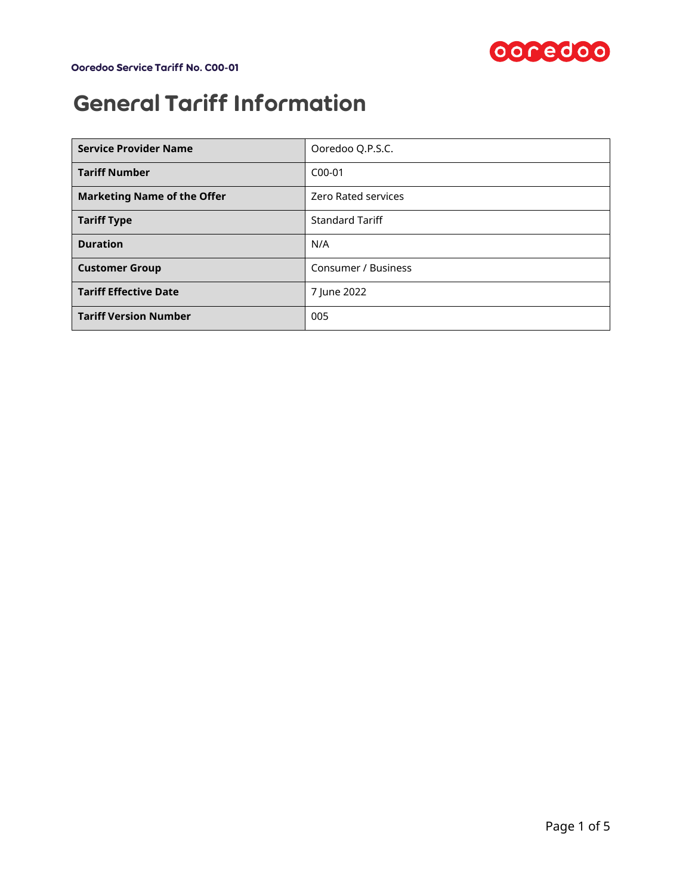

# General Tariff Information

| <b>Service Provider Name</b>       | Ooredoo Q.P.S.C.           |  |
|------------------------------------|----------------------------|--|
| <b>Tariff Number</b>               | $C_{00-01}$                |  |
| <b>Marketing Name of the Offer</b> | <b>Zero Rated services</b> |  |
| <b>Tariff Type</b>                 | <b>Standard Tariff</b>     |  |
| <b>Duration</b>                    | N/A                        |  |
| <b>Customer Group</b>              | <b>Consumer / Business</b> |  |
| <b>Tariff Effective Date</b>       | 7 June 2022                |  |
| <b>Tariff Version Number</b>       | 005                        |  |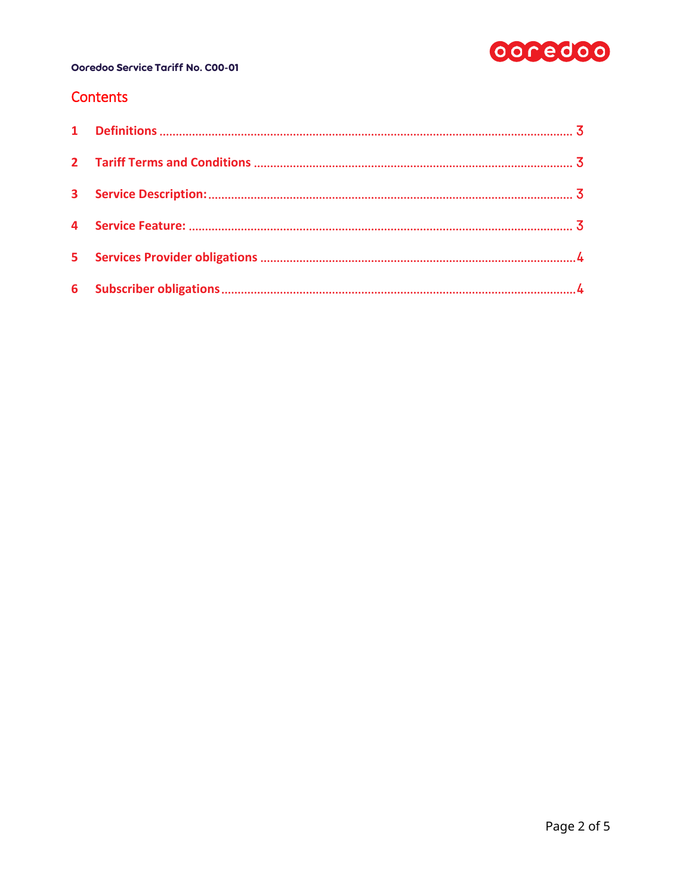

### Contents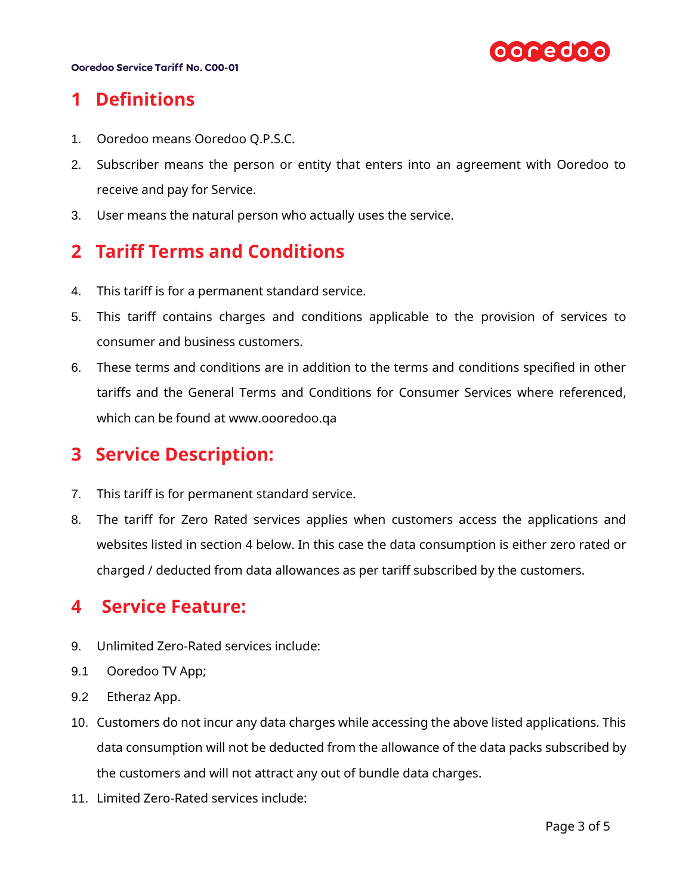

# <span id="page-2-0"></span>**1 Definitions**

- 1. Ooredoo means Ooredoo Q.P.S.C.
- 2. Subscriber means the person or entity that enters into an agreement with Ooredoo to receive and pay for Service.
- 3. User means the natural person who actually uses the service.

# <span id="page-2-1"></span>**2 Tariff Terms and Conditions**

- 4. This tariff is for a permanent standard service.
- 5. This tariff contains charges and conditions applicable to the provision of services to consumer and business customers.
- 6. These terms and conditions are in addition to the terms and conditions specified in other tariffs and the General Terms and Conditions for Consumer Services where referenced, which can be found at [www.oooredoo.qa](http://www.oooredoo.qa/)

## <span id="page-2-2"></span>**3 Service Description:**

- 7. This tariff is for permanent standard service.
- 8. The tariff for Zero Rated services applies when customers access the applications and websites listed in section [4](#page-2-3) below. In this case the data consumption is either zero rated or charged / deducted from data allowances as per tariff subscribed by the customers.

### <span id="page-2-3"></span>**4 Service Feature:**

- 9. Unlimited Zero-Rated services include:
- 9.1 Ooredoo TV App;
- 9.2 Etheraz App.
- 10. Customers do not incur any data charges while accessing the above listed applications. This data consumption will not be deducted from the allowance of the data packs subscribed by the customers and will not attract any out of bundle data charges.
- 11. Limited Zero-Rated services include: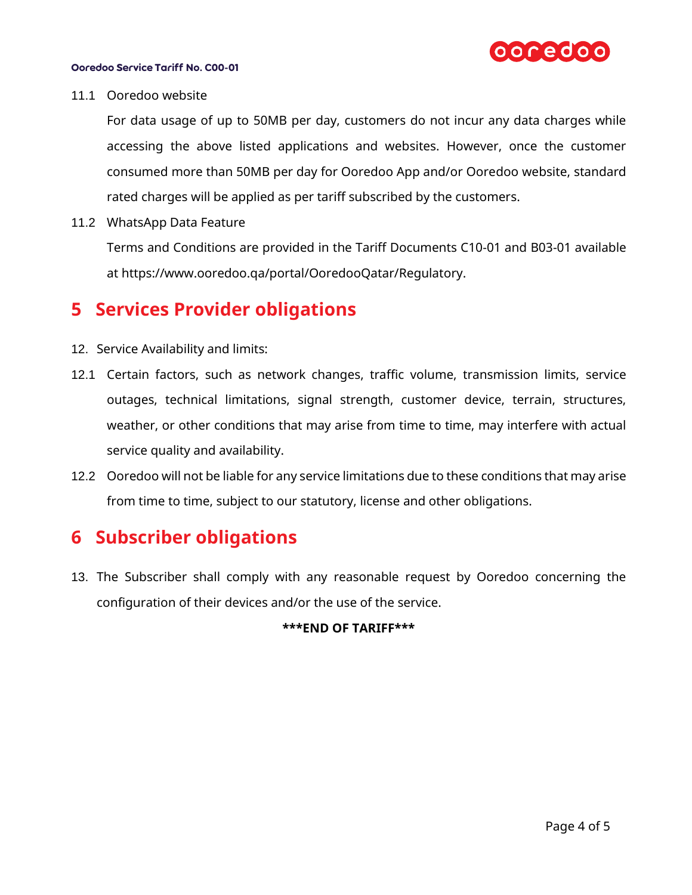

#### 11.1 Ooredoo website

For data usage of up to 50MB per day, customers do not incur any data charges while accessing the above listed applications and websites. However, once the customer consumed more than 50MB per day for Ooredoo App and/or Ooredoo website, standard rated charges will be applied as per tariff subscribed by the customers.

11.2 WhatsApp Data Feature

Terms and Conditions are provided in the Tariff Documents C10-01 and B03-01 available at https://www.ooredoo.qa/portal/OoredooQatar/Regulatory.

### <span id="page-3-0"></span>**5 Services Provider obligations**

- 12. Service Availability and limits:
- 12.1 Certain factors, such as network changes, traffic volume, transmission limits, service outages, technical limitations, signal strength, customer device, terrain, structures, weather, or other conditions that may arise from time to time, may interfere with actual service quality and availability.
- 12.2 Ooredoo will not be liable for any service limitations due to these conditions that may arise from time to time, subject to our statutory, license and other obligations.

# <span id="page-3-1"></span>**6 Subscriber obligations**

13. The Subscriber shall comply with any reasonable request by Ooredoo concerning the configuration of their devices and/or the use of the service.

#### **\*\*\*END OF TARIFF\*\*\***